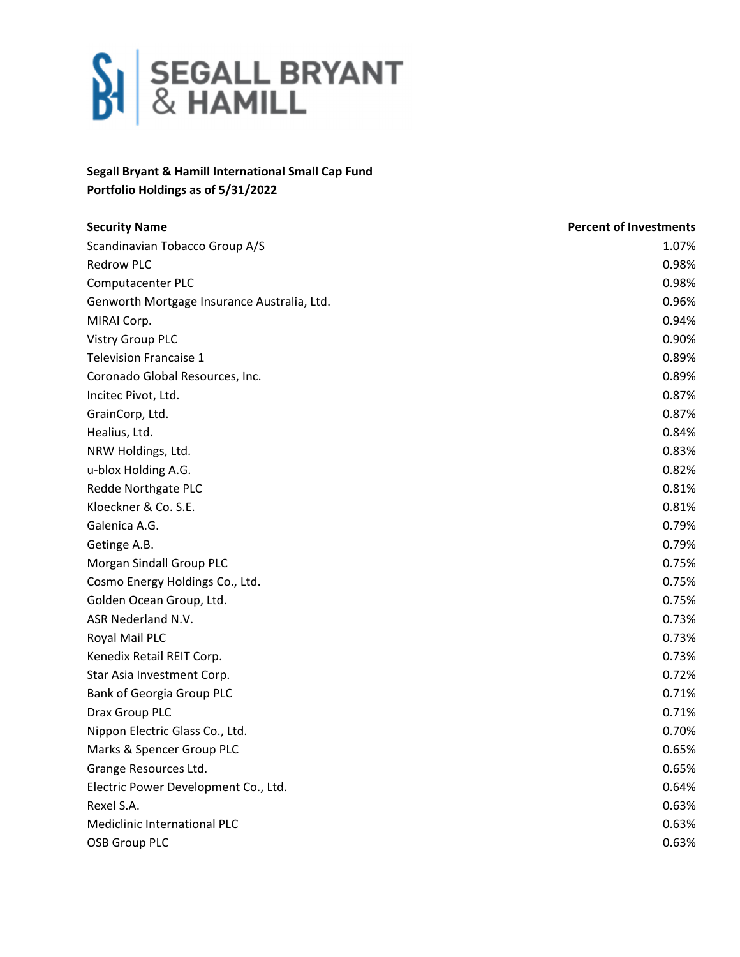

## **Segall Bryant & Hamill International Small Cap Fund Portfolio Holdings as of 5/31/2022**

| <b>Security Name</b>                        | <b>Percent of Investments</b> |
|---------------------------------------------|-------------------------------|
| Scandinavian Tobacco Group A/S              | 1.07%                         |
| <b>Redrow PLC</b>                           | 0.98%                         |
| <b>Computacenter PLC</b>                    | 0.98%                         |
| Genworth Mortgage Insurance Australia, Ltd. | 0.96%                         |
| MIRAI Corp.                                 | 0.94%                         |
| Vistry Group PLC                            | 0.90%                         |
| Television Francaise 1                      | 0.89%                         |
| Coronado Global Resources, Inc.             | 0.89%                         |
| Incitec Pivot, Ltd.                         | 0.87%                         |
| GrainCorp, Ltd.                             | 0.87%                         |
| Healius, Ltd.                               | 0.84%                         |
| NRW Holdings, Ltd.                          | 0.83%                         |
| u-blox Holding A.G.                         | 0.82%                         |
| Redde Northgate PLC                         | 0.81%                         |
| Kloeckner & Co. S.E.                        | 0.81%                         |
| Galenica A.G.                               | 0.79%                         |
| Getinge A.B.                                | 0.79%                         |
| Morgan Sindall Group PLC                    | 0.75%                         |
| Cosmo Energy Holdings Co., Ltd.             | 0.75%                         |
| Golden Ocean Group, Ltd.                    | 0.75%                         |
| ASR Nederland N.V.                          | 0.73%                         |
| Royal Mail PLC                              | 0.73%                         |
| Kenedix Retail REIT Corp.                   | 0.73%                         |
| Star Asia Investment Corp.                  | 0.72%                         |
| Bank of Georgia Group PLC                   | 0.71%                         |
| Drax Group PLC                              | 0.71%                         |
| Nippon Electric Glass Co., Ltd.             | 0.70%                         |
| Marks & Spencer Group PLC                   | 0.65%                         |
| Grange Resources Ltd.                       | 0.65%                         |
| Electric Power Development Co., Ltd.        | 0.64%                         |
| Rexel S.A.                                  | 0.63%                         |
| Mediclinic International PLC                | 0.63%                         |
| <b>OSB Group PLC</b>                        | 0.63%                         |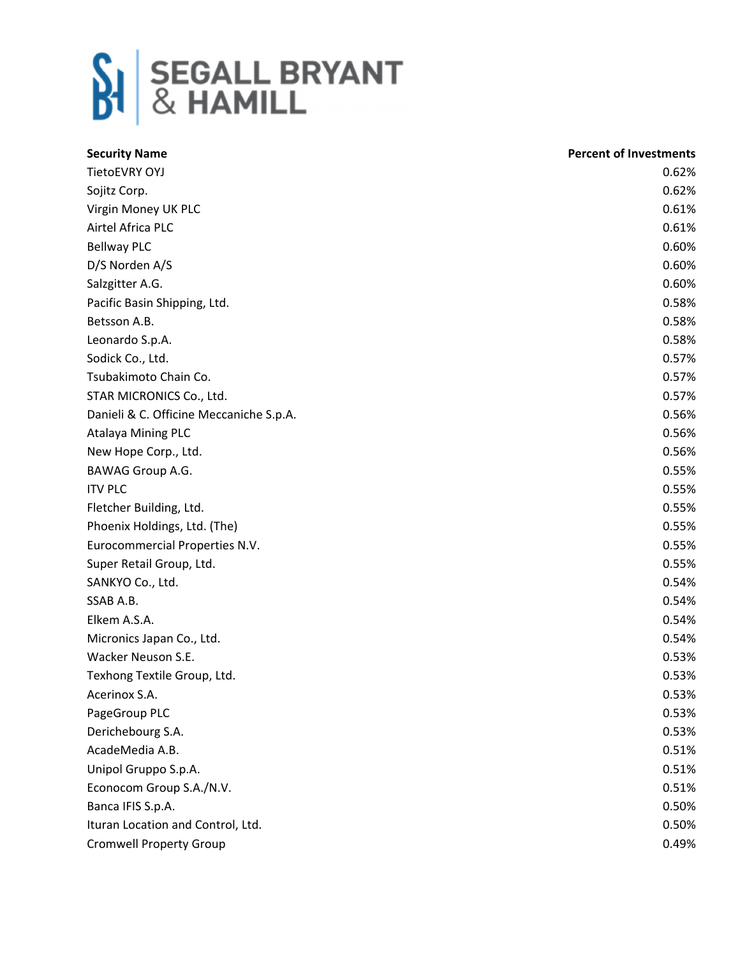

| <b>Security Name</b>                    | <b>Percent of Investments</b> |
|-----------------------------------------|-------------------------------|
| <b>TietoEVRY OYJ</b>                    | 0.62%                         |
| Sojitz Corp.                            | 0.62%                         |
| Virgin Money UK PLC                     | 0.61%                         |
| Airtel Africa PLC                       | 0.61%                         |
| <b>Bellway PLC</b>                      | 0.60%                         |
| D/S Norden A/S                          | 0.60%                         |
| Salzgitter A.G.                         | 0.60%                         |
| Pacific Basin Shipping, Ltd.            | 0.58%                         |
| Betsson A.B.                            | 0.58%                         |
| Leonardo S.p.A.                         | 0.58%                         |
| Sodick Co., Ltd.                        | 0.57%                         |
| Tsubakimoto Chain Co.                   | 0.57%                         |
| STAR MICRONICS Co., Ltd.                | 0.57%                         |
| Danieli & C. Officine Meccaniche S.p.A. | 0.56%                         |
| <b>Atalaya Mining PLC</b>               | 0.56%                         |
| New Hope Corp., Ltd.                    | 0.56%                         |
| <b>BAWAG Group A.G.</b>                 | 0.55%                         |
| <b>ITV PLC</b>                          | 0.55%                         |
| Fletcher Building, Ltd.                 | 0.55%                         |
| Phoenix Holdings, Ltd. (The)            | 0.55%                         |
| Eurocommercial Properties N.V.          | 0.55%                         |
| Super Retail Group, Ltd.                | 0.55%                         |
| SANKYO Co., Ltd.                        | 0.54%                         |
| SSAB A.B.                               | 0.54%                         |
| Elkem A.S.A.                            | 0.54%                         |
| Micronics Japan Co., Ltd.               | 0.54%                         |
| Wacker Neuson S.E.                      | 0.53%                         |
| Texhong Textile Group, Ltd.             | 0.53%                         |
| Acerinox S.A.                           | 0.53%                         |
| PageGroup PLC                           | 0.53%                         |
| Derichebourg S.A.                       | 0.53%                         |
| AcadeMedia A.B.                         | 0.51%                         |
| Unipol Gruppo S.p.A.                    | 0.51%                         |
| Econocom Group S.A./N.V.                | 0.51%                         |
| Banca IFIS S.p.A.                       | 0.50%                         |
| Ituran Location and Control, Ltd.       | 0.50%                         |
| <b>Cromwell Property Group</b>          | 0.49%                         |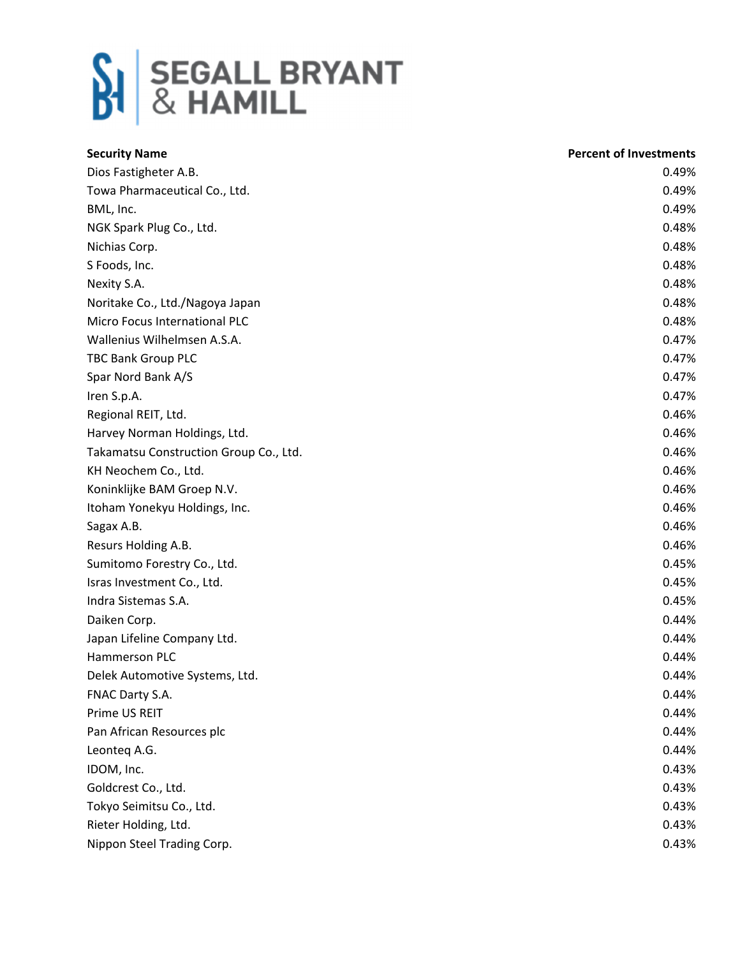

| <b>Security Name</b>                   | <b>Percent of Investments</b> |
|----------------------------------------|-------------------------------|
| Dios Fastigheter A.B.                  | 0.49%                         |
| Towa Pharmaceutical Co., Ltd.          | 0.49%                         |
| BML, Inc.                              | 0.49%                         |
| NGK Spark Plug Co., Ltd.               | 0.48%                         |
| Nichias Corp.                          | 0.48%                         |
| S Foods, Inc.                          | 0.48%                         |
| Nexity S.A.                            | 0.48%                         |
| Noritake Co., Ltd./Nagoya Japan        | 0.48%                         |
| Micro Focus International PLC          | 0.48%                         |
| Wallenius Wilhelmsen A.S.A.            | 0.47%                         |
| <b>TBC Bank Group PLC</b>              | 0.47%                         |
| Spar Nord Bank A/S                     | 0.47%                         |
| Iren S.p.A.                            | 0.47%                         |
| Regional REIT, Ltd.                    | 0.46%                         |
| Harvey Norman Holdings, Ltd.           | 0.46%                         |
| Takamatsu Construction Group Co., Ltd. | 0.46%                         |
| KH Neochem Co., Ltd.                   | 0.46%                         |
| Koninklijke BAM Groep N.V.             | 0.46%                         |
| Itoham Yonekyu Holdings, Inc.          | 0.46%                         |
| Sagax A.B.                             | 0.46%                         |
| Resurs Holding A.B.                    | 0.46%                         |
| Sumitomo Forestry Co., Ltd.            | 0.45%                         |
| Isras Investment Co., Ltd.             | 0.45%                         |
| Indra Sistemas S.A.                    | 0.45%                         |
| Daiken Corp.                           | 0.44%                         |
| Japan Lifeline Company Ltd.            | 0.44%                         |
| Hammerson PLC                          | 0.44%                         |
| Delek Automotive Systems, Ltd.         | 0.44%                         |
| FNAC Darty S.A.                        | 0.44%                         |
| Prime US REIT                          | 0.44%                         |
| Pan African Resources plc              | 0.44%                         |
| Leonteg A.G.                           | 0.44%                         |
| IDOM, Inc.                             | 0.43%                         |
| Goldcrest Co., Ltd.                    | 0.43%                         |
| Tokyo Seimitsu Co., Ltd.               | 0.43%                         |
| Rieter Holding, Ltd.                   | 0.43%                         |
| Nippon Steel Trading Corp.             | 0.43%                         |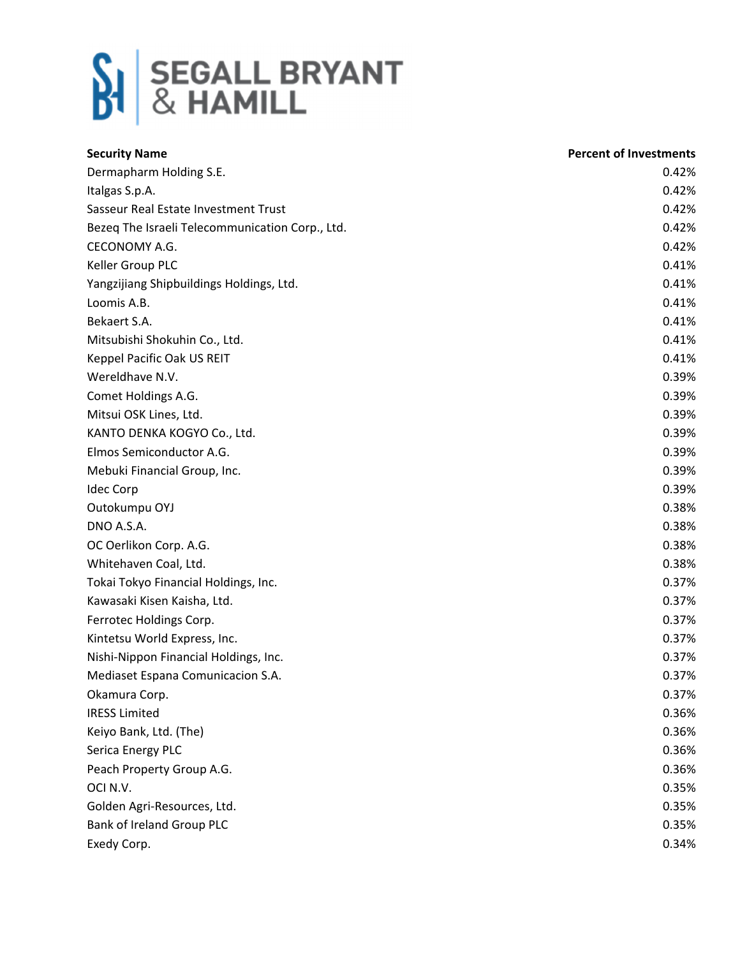

| <b>Security Name</b>                            | <b>Percent of Investments</b> |
|-------------------------------------------------|-------------------------------|
| Dermapharm Holding S.E.                         | 0.42%                         |
| Italgas S.p.A.                                  | 0.42%                         |
| Sasseur Real Estate Investment Trust            | 0.42%                         |
| Bezeq The Israeli Telecommunication Corp., Ltd. | 0.42%                         |
| CECONOMY A.G.                                   | 0.42%                         |
| Keller Group PLC                                | 0.41%                         |
| Yangzijiang Shipbuildings Holdings, Ltd.        | 0.41%                         |
| Loomis A.B.                                     | 0.41%                         |
| Bekaert S.A.                                    | 0.41%                         |
| Mitsubishi Shokuhin Co., Ltd.                   | 0.41%                         |
| Keppel Pacific Oak US REIT                      | 0.41%                         |
| Wereldhave N.V.                                 | 0.39%                         |
| Comet Holdings A.G.                             | 0.39%                         |
| Mitsui OSK Lines, Ltd.                          | 0.39%                         |
| KANTO DENKA KOGYO Co., Ltd.                     | 0.39%                         |
| Elmos Semiconductor A.G.                        | 0.39%                         |
| Mebuki Financial Group, Inc.                    | 0.39%                         |
| <b>Idec Corp</b>                                | 0.39%                         |
| Outokumpu OYJ                                   | 0.38%                         |
| DNO A.S.A.                                      | 0.38%                         |
| OC Oerlikon Corp. A.G.                          | 0.38%                         |
| Whitehaven Coal, Ltd.                           | 0.38%                         |
| Tokai Tokyo Financial Holdings, Inc.            | 0.37%                         |
| Kawasaki Kisen Kaisha, Ltd.                     | 0.37%                         |
| Ferrotec Holdings Corp.                         | 0.37%                         |
| Kintetsu World Express, Inc.                    | 0.37%                         |
| Nishi-Nippon Financial Holdings, Inc.           | 0.37%                         |
| Mediaset Espana Comunicacion S.A.               | 0.37%                         |
| Okamura Corp.                                   | 0.37%                         |
| <b>IRESS Limited</b>                            | 0.36%                         |
| Keiyo Bank, Ltd. (The)                          | 0.36%                         |
| Serica Energy PLC                               | 0.36%                         |
| Peach Property Group A.G.                       | 0.36%                         |
| OCI N.V.                                        | 0.35%                         |
| Golden Agri-Resources, Ltd.                     | 0.35%                         |
| Bank of Ireland Group PLC                       | 0.35%                         |
| Exedy Corp.                                     | 0.34%                         |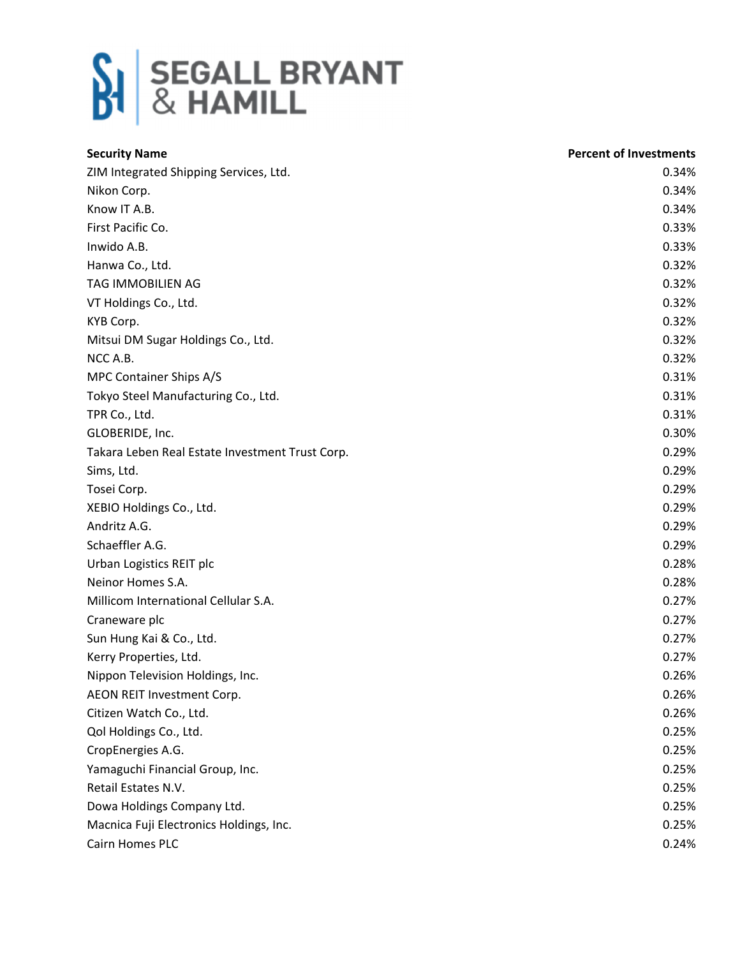

| <b>Security Name</b>                            | <b>Percent of Investments</b> |
|-------------------------------------------------|-------------------------------|
| ZIM Integrated Shipping Services, Ltd.          | 0.34%                         |
| Nikon Corp.                                     | 0.34%                         |
| Know IT A.B.                                    | 0.34%                         |
| First Pacific Co.                               | 0.33%                         |
| Inwido A.B.                                     | 0.33%                         |
| Hanwa Co., Ltd.                                 | 0.32%                         |
| TAG IMMOBILIEN AG                               | 0.32%                         |
| VT Holdings Co., Ltd.                           | 0.32%                         |
| KYB Corp.                                       | 0.32%                         |
| Mitsui DM Sugar Holdings Co., Ltd.              | 0.32%                         |
| NCC A.B.                                        | 0.32%                         |
| MPC Container Ships A/S                         | 0.31%                         |
| Tokyo Steel Manufacturing Co., Ltd.             | 0.31%                         |
| TPR Co., Ltd.                                   | 0.31%                         |
| GLOBERIDE, Inc.                                 | 0.30%                         |
| Takara Leben Real Estate Investment Trust Corp. | 0.29%                         |
| Sims, Ltd.                                      | 0.29%                         |
| Tosei Corp.                                     | 0.29%                         |
| XEBIO Holdings Co., Ltd.                        | 0.29%                         |
| Andritz A.G.                                    | 0.29%                         |
| Schaeffler A.G.                                 | 0.29%                         |
| Urban Logistics REIT plc                        | 0.28%                         |
| Neinor Homes S.A.                               | 0.28%                         |
| Millicom International Cellular S.A.            | 0.27%                         |
| Craneware plc                                   | 0.27%                         |
| Sun Hung Kai & Co., Ltd.                        | 0.27%                         |
| Kerry Properties, Ltd.                          | 0.27%                         |
| Nippon Television Holdings, Inc.                | 0.26%                         |
| AEON REIT Investment Corp.                      | 0.26%                         |
| Citizen Watch Co., Ltd.                         | 0.26%                         |
| Qol Holdings Co., Ltd.                          | 0.25%                         |
| CropEnergies A.G.                               | 0.25%                         |
| Yamaguchi Financial Group, Inc.                 | 0.25%                         |
| Retail Estates N.V.                             | 0.25%                         |
| Dowa Holdings Company Ltd.                      | 0.25%                         |
| Macnica Fuji Electronics Holdings, Inc.         | 0.25%                         |
| Cairn Homes PLC                                 | 0.24%                         |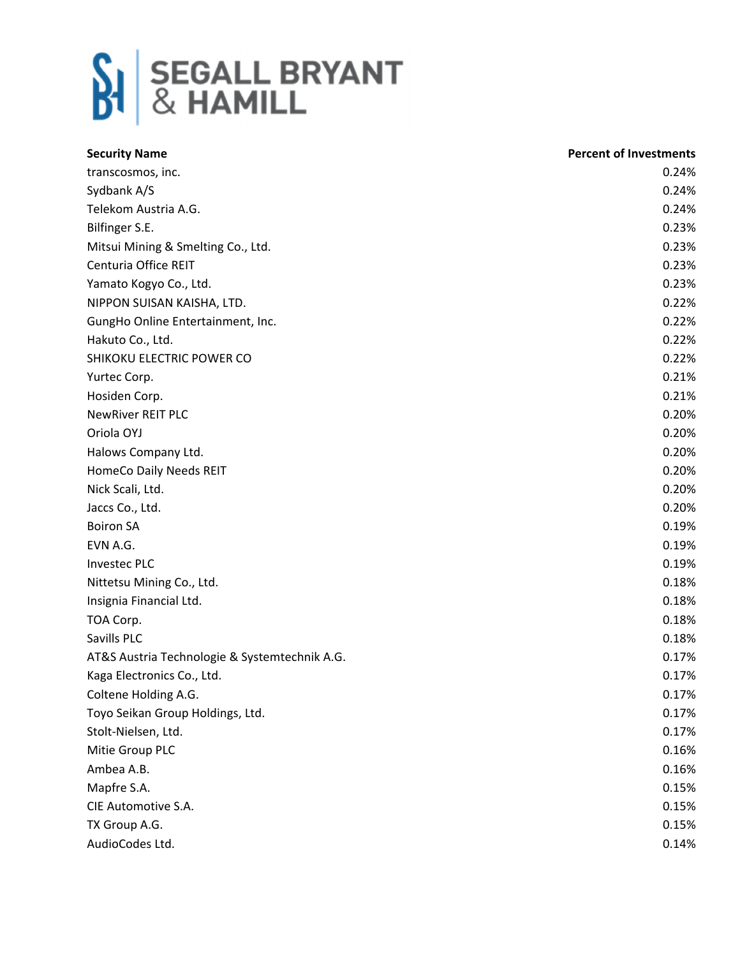

| <b>Security Name</b>                          | <b>Percent of Investments</b> |
|-----------------------------------------------|-------------------------------|
| transcosmos, inc.                             | 0.24%                         |
| Sydbank A/S                                   | 0.24%                         |
| Telekom Austria A.G.                          | 0.24%                         |
| Bilfinger S.E.                                | 0.23%                         |
| Mitsui Mining & Smelting Co., Ltd.            | 0.23%                         |
| Centuria Office REIT                          | 0.23%                         |
| Yamato Kogyo Co., Ltd.                        | 0.23%                         |
| NIPPON SUISAN KAISHA, LTD.                    | 0.22%                         |
| GungHo Online Entertainment, Inc.             | 0.22%                         |
| Hakuto Co., Ltd.                              | 0.22%                         |
| SHIKOKU ELECTRIC POWER CO                     | 0.22%                         |
| Yurtec Corp.                                  | 0.21%                         |
| Hosiden Corp.                                 | 0.21%                         |
| <b>NewRiver REIT PLC</b>                      | 0.20%                         |
| Oriola OYJ                                    | 0.20%                         |
| Halows Company Ltd.                           | 0.20%                         |
| HomeCo Daily Needs REIT                       | 0.20%                         |
| Nick Scali, Ltd.                              | 0.20%                         |
| Jaccs Co., Ltd.                               | 0.20%                         |
| <b>Boiron SA</b>                              | 0.19%                         |
| EVN A.G.                                      | 0.19%                         |
| <b>Investec PLC</b>                           | 0.19%                         |
| Nittetsu Mining Co., Ltd.                     | 0.18%                         |
| Insignia Financial Ltd.                       | 0.18%                         |
| TOA Corp.                                     | 0.18%                         |
| Savills PLC                                   | 0.18%                         |
| AT&S Austria Technologie & Systemtechnik A.G. | 0.17%                         |
| Kaga Electronics Co., Ltd.                    | 0.17%                         |
| Coltene Holding A.G.                          | 0.17%                         |
| Toyo Seikan Group Holdings, Ltd.              | 0.17%                         |
| Stolt-Nielsen, Ltd.                           | 0.17%                         |
| Mitie Group PLC                               | 0.16%                         |
| Ambea A.B.                                    | 0.16%                         |
| Mapfre S.A.                                   | 0.15%                         |
| CIE Automotive S.A.                           | 0.15%                         |
| TX Group A.G.                                 | 0.15%                         |
| AudioCodes Ltd.                               | 0.14%                         |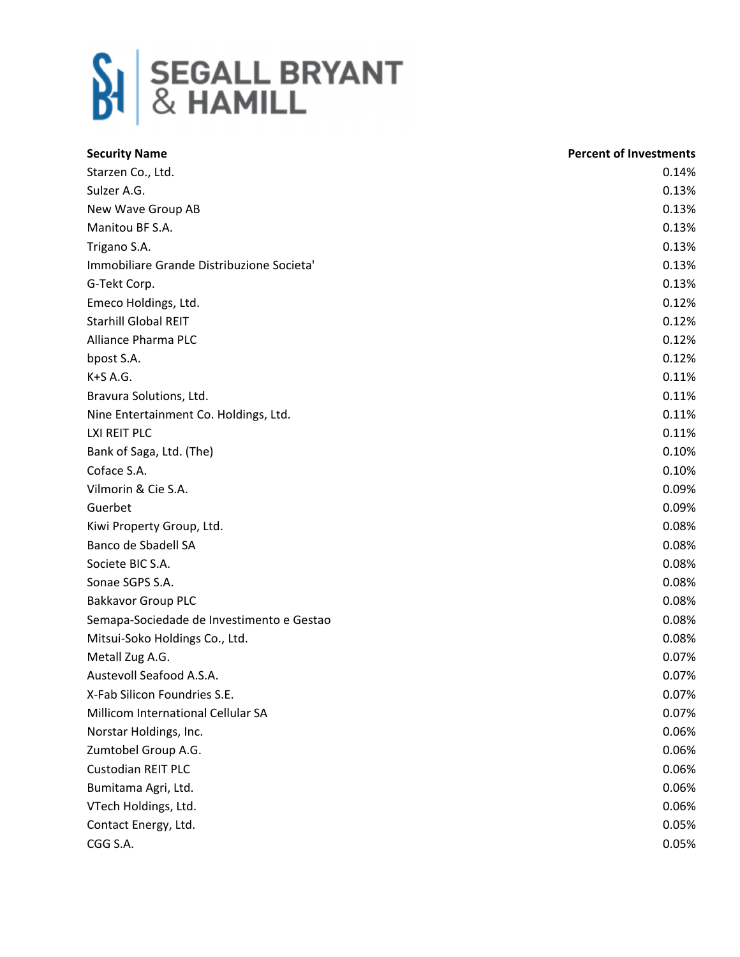

| <b>Security Name</b>                      | <b>Percent of Investments</b> |
|-------------------------------------------|-------------------------------|
| Starzen Co., Ltd.                         | 0.14%                         |
| Sulzer A.G.                               | 0.13%                         |
| New Wave Group AB                         | 0.13%                         |
| Manitou BF S.A.                           | 0.13%                         |
| Trigano S.A.                              | 0.13%                         |
| Immobiliare Grande Distribuzione Societa' | 0.13%                         |
| G-Tekt Corp.                              | 0.13%                         |
| Emeco Holdings, Ltd.                      | 0.12%                         |
| <b>Starhill Global REIT</b>               | 0.12%                         |
| Alliance Pharma PLC                       | 0.12%                         |
| bpost S.A.                                | 0.12%                         |
| $K+S A.G.$                                | 0.11%                         |
| Bravura Solutions, Ltd.                   | 0.11%                         |
| Nine Entertainment Co. Holdings, Ltd.     | 0.11%                         |
| LXI REIT PLC                              | 0.11%                         |
| Bank of Saga, Ltd. (The)                  | 0.10%                         |
| Coface S.A.                               | 0.10%                         |
| Vilmorin & Cie S.A.                       | 0.09%                         |
| Guerbet                                   | 0.09%                         |
| Kiwi Property Group, Ltd.                 | 0.08%                         |
| Banco de Sbadell SA                       | 0.08%                         |
| Societe BIC S.A.                          | 0.08%                         |
| Sonae SGPS S.A.                           | 0.08%                         |
| <b>Bakkavor Group PLC</b>                 | 0.08%                         |
| Semapa-Sociedade de Investimento e Gestao | 0.08%                         |
| Mitsui-Soko Holdings Co., Ltd.            | 0.08%                         |
| Metall Zug A.G.                           | 0.07%                         |
| Austevoll Seafood A.S.A.                  | 0.07%                         |
| X-Fab Silicon Foundries S.E.              | 0.07%                         |
| Millicom International Cellular SA        | 0.07%                         |
| Norstar Holdings, Inc.                    | 0.06%                         |
| Zumtobel Group A.G.                       | 0.06%                         |
| <b>Custodian REIT PLC</b>                 | 0.06%                         |
| Bumitama Agri, Ltd.                       | 0.06%                         |
| VTech Holdings, Ltd.                      | 0.06%                         |
| Contact Energy, Ltd.                      | 0.05%                         |
| CGG S.A.                                  | 0.05%                         |